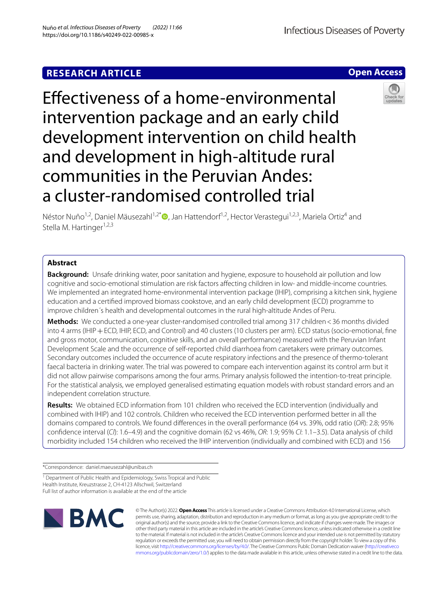# **RESEARCH ARTICLE**

**Open Access**

# Efectiveness of a home-environmental intervention package and an early child development intervention on child health and development in high-altitude rural communities in the Peruvian Andes: a cluster-randomised controlled trial



Néstor Nuño<sup>1,2</sup>, Daniel Mäusezahl<sup>1,2[\\*](http://orcid.org/0000-0001-5639-5337)</sup> , Jan Hattendorf<sup>1,2</sup>, Hector Verastegui<sup>1,2,3</sup>, Mariela Ortiz<sup>4</sup> and Stella M. Hartinger<sup>1,2,3</sup>

# **Abstract**

**Background:** Unsafe drinking water, poor sanitation and hygiene, exposure to household air pollution and low cognitive and socio-emotional stimulation are risk factors afecting children in low- and middle-income countries. We implemented an integrated home-environmental intervention package (IHIP), comprising a kitchen sink, hygiene education and a certifed improved biomass cookstove, and an early child development (ECD) programme to improve children´s health and developmental outcomes in the rural high-altitude Andes of Peru.

**Methods:** We conducted a one-year cluster-randomised controlled trial among 317 children < 36 months divided into 4 arms (IHIP + ECD, IHIP, ECD, and Control) and 40 clusters (10 clusters per arm). ECD status (socio-emotional, fine and gross motor, communication, cognitive skills, and an overall performance) measured with the Peruvian Infant Development Scale and the occurrence of self-reported child diarrhoea from caretakers were primary outcomes. Secondary outcomes included the occurrence of acute respiratory infections and the presence of thermo-tolerant faecal bacteria in drinking water. The trial was powered to compare each intervention against its control arm but it did not allow pairwise comparisons among the four arms. Primary analysis followed the intention-to-treat principle. For the statistical analysis, we employed generalised estimating equation models with robust standard errors and an independent correlation structure.

**Results:** We obtained ECD information from 101 children who received the ECD intervention (individually and combined with IHIP) and 102 controls. Children who received the ECD intervention performed better in all the domains compared to controls. We found diferences in the overall performance (64 vs. 39%, odd ratio (*OR*): 2.8; 95% confdence interval (*CI*): 1.6–4.9) and the cognitive domain (62 vs 46%, *OR*: 1.9; 95% *CI*: 1.1–3.5). Data analysis of child morbidity included 154 children who received the IHIP intervention (individually and combined with ECD) and 156

\*Correspondence: daniel.maeusezahl@unibas.ch

<sup>1</sup> Department of Public Health and Epidemiology, Swiss Tropical and Public Health Institute, Kreuzstrasse 2, CH-4123 Allschwil, Switzerland Full list of author information is available at the end of the article



© The Author(s) 2022. **Open Access** This article is licensed under a Creative Commons Attribution 4.0 International License, which permits use, sharing, adaptation, distribution and reproduction in any medium or format, as long as you give appropriate credit to the original author(s) and the source, provide a link to the Creative Commons licence, and indicate if changes were made. The images or other third party material in this article are included in the article's Creative Commons licence, unless indicated otherwise in a credit line to the material. If material is not included in the article's Creative Commons licence and your intended use is not permitted by statutory regulation or exceeds the permitted use, you will need to obtain permission directly from the copyright holder. To view a copy of this licence, visit [http://creativecommons.org/licenses/by/4.0/.](http://creativecommons.org/licenses/by/4.0/) The Creative Commons Public Domain Dedication waiver ([http://creativeco](http://creativecommons.org/publicdomain/zero/1.0/) [mmons.org/publicdomain/zero/1.0/](http://creativecommons.org/publicdomain/zero/1.0/)) applies to the data made available in this article, unless otherwise stated in a credit line to the data.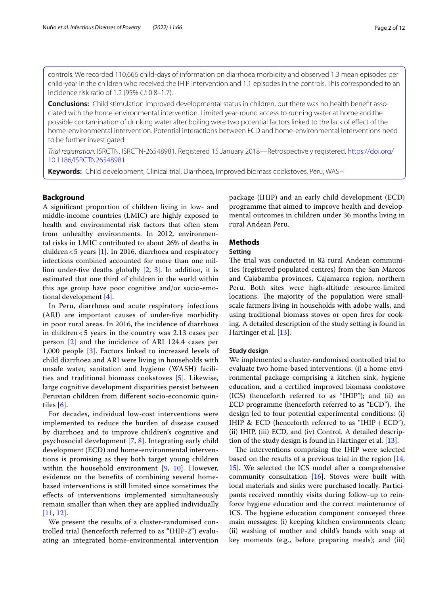controls. We recorded 110,666 child-days of information on diarrhoea morbidity and observed 1.3 mean episodes per child-year in the children who received the IHIP intervention and 1.1 episodes in the controls. This corresponded to an incidence risk ratio of 1.2 (95% *CI*: 0.8–1.7).

**Conclusions:** Child stimulation improved developmental status in children, but there was no health beneft associated with the home-environmental intervention. Limited year-round access to running water at home and the possible contamination of drinking water after boiling were two potential factors linked to the lack of efect of the home-environmental intervention. Potential interactions between ECD and home-environmental interventions need to be further investigated.

*Trial registration:* ISRCTN, ISRCTN-26548981. Registered 15 January 2018—Retrospectively registered, [https://doi.org/](https://doi.org/10.1186/ISRCTN26548981) [10.1186/ISRCTN26548981](https://doi.org/10.1186/ISRCTN26548981).

**Keywords:** Child development, Clinical trial, Diarrhoea, Improved biomass cookstoves, Peru, WASH

# **Background**

A signifcant proportion of children living in low- and middle-income countries (LMIC) are highly exposed to health and environmental risk factors that often stem from unhealthy environments. In 2012, environmental risks in LMIC contributed to about 26% of deaths in children $<$ 5 years [[1\]](#page-10-0). In 2016, diarrhoea and respiratory infections combined accounted for more than one million under-fve deaths globally [[2,](#page-10-1) [3](#page-10-2)]. In addition, it is estimated that one third of children in the world within this age group have poor cognitive and/or socio-emotional development [\[4](#page-10-3)].

In Peru, diarrhoea and acute respiratory infections (ARI) are important causes of under-fve morbidity in poor rural areas. In 2016, the incidence of diarrhoea in children < 5 years in the country was 2.13 cases per person [\[2](#page-10-1)] and the incidence of ARI 124.4 cases per 1,000 people [[3\]](#page-10-2). Factors linked to increased levels of child diarrhoea and ARI were living in households with unsafe water, sanitation and hygiene (WASH) facilities and traditional biomass cookstoves [\[5\]](#page-10-4). Likewise, large cognitive development disparities persist between Peruvian children from diferent socio-economic quintiles [[6\]](#page-10-5).

For decades, individual low-cost interventions were implemented to reduce the burden of disease caused by diarrhoea and to improve children's cognitive and psychosocial development [[7,](#page-10-6) [8\]](#page-10-7). Integrating early child development (ECD) and home-environmental interventions is promising as they both target young children within the household environment [[9](#page-10-8), [10\]](#page-10-9). However, evidence on the benefts of combining several homebased interventions is still limited since sometimes the efects of interventions implemented simultaneously remain smaller than when they are applied individually [[11](#page-10-10), [12](#page-10-11)].

We present the results of a cluster-randomised controlled trial (henceforth referred to as "IHIP-2") evaluating an integrated home-environmental intervention package (IHIP) and an early child development (ECD) programme that aimed to improve health and developmental outcomes in children under 36 months living in rural Andean Peru.

# **Methods**

# **Setting**

The trial was conducted in 82 rural Andean communities (registered populated centres) from the San Marcos and Cajabamba provinces, Cajamarca region, northern Peru. Both sites were high-altitude resource-limited locations. The majority of the population were smallscale farmers living in households with adobe walls, and using traditional biomass stoves or open fres for cooking. A detailed description of the study setting is found in Hartinger et al. [[13\]](#page-10-12).

### **Study design**

We implemented a cluster-randomised controlled trial to evaluate two home-based interventions: (i) a home-environmental package comprising a kitchen sink, hygiene education, and a certifed improved biomass cookstove (ICS) (henceforth referred to as "IHIP"); and (ii) an ECD programme (henceforth referred to as "ECD"). The design led to four potential experimental conditions: (i) IHIP & ECD (henceforth referred to as "IHIP+ECD"), (ii) IHIP, (iii) ECD, and (iv) Control. A detailed description of the study design is found in Hartinger et al. [\[13](#page-10-12)].

The interventions comprising the IHIP were selected based on the results of a previous trial in the region [[14](#page-10-13), [15\]](#page-10-14). We selected the ICS model after a comprehensive community consultation [\[16](#page-10-15)]. Stoves were built with local materials and sinks were purchased locally. Participants received monthly visits during follow-up to reinforce hygiene education and the correct maintenance of ICS. The hygiene education component conveyed three main messages: (i) keeping kitchen environments clean; (ii) washing of mother and child's hands with soap at key moments (e.g., before preparing meals); and (iii)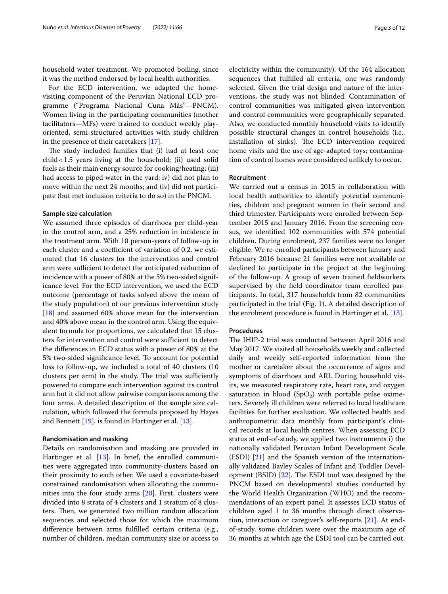household water treatment. We promoted boiling, since it was the method endorsed by local health authorities.

For the ECD intervention, we adapted the homevisiting component of the Peruvian National ECD programme ("Programa Nacional Cuna Más"—PNCM). Women living in the participating communities (mother facilitators—MFs) were trained to conduct weekly playoriented, semi-structured activities with study children in the presence of their caretakers [\[17](#page-11-0)].

The study included families that (i) had at least one child<1.5 years living at the household; (ii) used solid fuels as their main energy source for cooking/heating; (iii) had access to piped water in the yard; iv) did not plan to move within the next 24 months; and (iv) did not participate (but met inclusion criteria to do so) in the PNCM.

#### **Sample size calculation**

We assumed three episodes of diarrhoea per child-year in the control arm, and a 25% reduction in incidence in the treatment arm. With 10 person-years of follow-up in each cluster and a coefficient of variation of 0.2, we estimated that 16 clusters for the intervention and control arm were sufficient to detect the anticipated reduction of incidence with a power of 80% at the 5% two-sided significance level. For the ECD intervention, we used the ECD outcome (percentage of tasks solved above the mean of the study population) of our previous intervention study [[18\]](#page-11-1) and assumed 60% above mean for the intervention and 40% above mean in the control arm. Using the equivalent formula for proportions, we calculated that 15 clusters for intervention and control were sufficient to detect the diferences in ECD status with a power of 80% at the 5% two-sided signifcance level. To account for potential loss to follow-up, we included a total of 40 clusters (10 clusters per arm) in the study. The trial was sufficiently powered to compare each intervention against its control arm but it did not allow pairwise comparisons among the four arms. A detailed description of the sample size calculation, which followed the formula proposed by Hayes and Bennett  $[19]$ , is found in Hartinger et al.  $[13]$  $[13]$ .

# **Randomisation and masking**

Details on randomisation and masking are provided in Hartinger et al. [\[13](#page-10-12)]. In brief, the enrolled communities were aggregated into community-clusters based on their proximity to each other. We used a covariate-based constrained randomisation when allocating the communities into the four study arms [[20\]](#page-11-3). First, clusters were divided into 8 strata of 4 clusters and 1 stratum of 8 clusters. Then, we generated two million random allocation sequences and selected those for which the maximum diference between arms fulflled certain criteria (e.g., number of children, median community size or access to electricity within the community). Of the 164 allocation sequences that fulflled all criteria, one was randomly selected. Given the trial design and nature of the interventions, the study was not blinded. Contamination of control communities was mitigated given intervention and control communities were geographically separated. Also, we conducted monthly household visits to identify possible structural changes in control households (i.e., installation of sinks). The ECD intervention required home visits and the use of age-adapted toys; contamination of control homes were considered unlikely to occur.

# **Recruitment**

We carried out a census in 2015 in collaboration with local health authorities to identify potential communities, children and pregnant women in their second and third trimester. Participants were enrolled between September 2015 and January 2016. From the screening census, we identifed 102 communities with 574 potential children. During enrolment, 237 families were no longer eligible. We re-enrolled participants between January and February 2016 because 21 families were not available or declined to participate in the project at the beginning of the follow-up. A group of seven trained feldworkers supervised by the feld coordinator team enrolled participants. In total, 317 households from 82 communities participated in the trial (Fig. [1](#page-3-0)). A detailed description of the enrolment procedure is found in Hartinger et al. [[13\]](#page-10-12).

#### **Procedures**

The IHIP-2 trial was conducted between April 2016 and May 2017. We visited all households weekly and collected daily and weekly self-reported information from the mother or caretaker about the occurrence of signs and symptoms of diarrhoea and ARI. During household visits, we measured respiratory rate, heart rate, and oxygen saturation in blood  $(SpO<sub>2</sub>)$  with portable pulse oximeters. Severely ill children were referred to local healthcare facilities for further evaluation. We collected health and anthropometric data monthly from participant's clinical records at local health centres. When assessing ECD status at end-of-study, we applied two instruments i) the nationally validated Peruvian Infant Development Scale (ESDI) [\[21\]](#page-11-4) and the Spanish version of the internationally validated Bayley Scales of Infant and Toddler Development (BSID)  $[22]$  $[22]$ . The ESDI tool was designed by the PNCM based on developmental studies conducted by the World Health Organization (WHO) and the recommendations of an expert panel. It assesses ECD status of children aged 1 to 36 months through direct observation, interaction or caregiver's self-reports [[21](#page-11-4)]. At endof-study, some children were over the maximum age of 36 months at which age the ESDI tool can be carried out.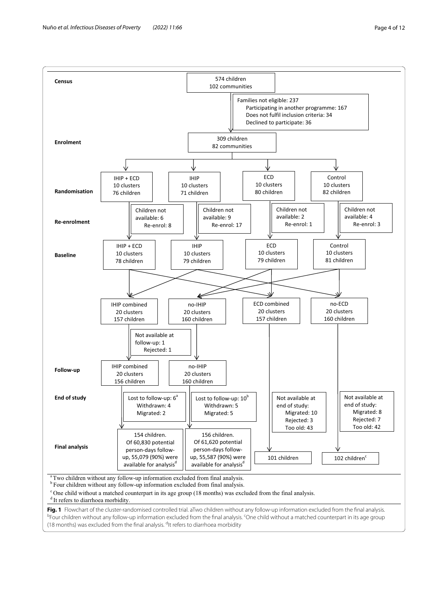<span id="page-3-0"></span>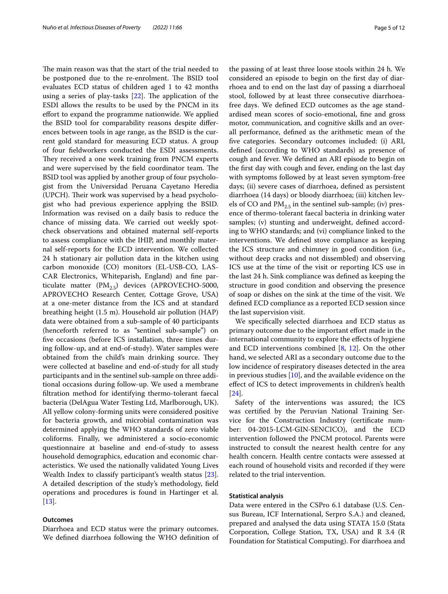The main reason was that the start of the trial needed to be postponed due to the re-enrolment. The BSID tool evaluates ECD status of children aged 1 to 42 months using a series of play-tasks  $[22]$  $[22]$ . The application of the ESDI allows the results to be used by the PNCM in its effort to expand the programme nationwide. We applied the BSID tool for comparability reasons despite diferences between tools in age range, as the BSID is the current gold standard for measuring ECD status. A group of four feldworkers conducted the ESDI assessments. They received a one week training from PNCM experts and were supervised by the field coordinator team. The BSID tool was applied by another group of four psychologist from the Universidad Peruana Cayetano Heredia (UPCH). Their work was supervised by a head psychologist who had previous experience applying the BSID. Information was revised on a daily basis to reduce the chance of missing data. We carried out weekly spotcheck observations and obtained maternal self-reports to assess compliance with the IHIP, and monthly maternal self-reports for the ECD intervention. We collected 24 h stationary air pollution data in the kitchen using carbon monoxide (CO) monitors (EL-USB-CO, LAS-CAR Electronics, Whiteparish, England) and fne particulate matter  $(PM_{2.5})$  devices (APROVECHO-5000, APROVECHO Research Center, Cottage Grove, USA) at a one-meter distance from the ICS and at standard breathing height (1.5 m). Household air pollution (HAP) data were obtained from a sub-sample of 40 participants (henceforth referred to as "sentinel sub-sample") on fve occasions (before ICS installation, three times during follow-up, and at end-of-study). Water samples were obtained from the child's main drinking source. They were collected at baseline and end-of-study for all study participants and in the sentinel sub-sample on three additional occasions during follow-up. We used a membrane fltration method for identifying thermo-tolerant faecal bacteria (DelAgua Water Testing Ltd, Marlborough, UK). All yellow colony-forming units were considered positive for bacteria growth, and microbial contamination was determined applying the WHO standards of zero viable coliforms. Finally, we administered a socio-economic questionnaire at baseline and end-of-study to assess household demographics, education and economic characteristics. We used the nationally validated Young Lives Wealth Index to classify participant's wealth status [\[23](#page-11-6)]. A detailed description of the study's methodology, feld operations and procedures is found in Hartinger et al. [[13\]](#page-10-12).

# **Outcomes**

Diarrhoea and ECD status were the primary outcomes. We defned diarrhoea following the WHO defnition of the passing of at least three loose stools within 24 h. We considered an episode to begin on the frst day of diarrhoea and to end on the last day of passing a diarrhoeal stool, followed by at least three consecutive diarrhoeafree days. We defned ECD outcomes as the age standardised mean scores of socio-emotional, fne and gross motor, communication, and cognitive skills and an overall performance, defned as the arithmetic mean of the fve categories. Secondary outcomes included: (i) ARI, defned (according to WHO standards) as presence of cough and fever. We defned an ARI episode to begin on the frst day with cough and fever, ending on the last day with symptoms followed by at least seven symptom-free days; (ii) severe cases of diarrhoea, defned as persistent diarrhoea (14 days) or bloody diarrhoea; (iii) kitchen levels of CO and  $PM<sub>2.5</sub>$  in the sentinel sub-sample; (iv) presence of thermo-tolerant faecal bacteria in drinking water samples; (v) stunting and underweight, defned according to WHO standards; and (vi) compliance linked to the interventions. We defned stove compliance as keeping the ICS structure and chimney in good condition (i.e., without deep cracks and not dissembled) and observing ICS use at the time of the visit or reporting ICS use in the last 24 h. Sink compliance was defned as keeping the structure in good condition and observing the presence of soap or dishes on the sink at the time of the visit. We defned ECD compliance as a reported ECD session since the last supervision visit.

We specifcally selected diarrhoea and ECD status as primary outcome due to the important effort made in the international community to explore the efects of hygiene and ECD interventions combined [\[8,](#page-10-7) [12\]](#page-10-11). On the other hand, we selected ARI as a secondary outcome due to the low incidence of respiratory diseases detected in the area in previous studies  $[10]$  $[10]$  $[10]$ , and the available evidence on the efect of ICS to detect improvements in children's health [[24\]](#page-11-7).

Safety of the interventions was assured; the ICS was certifed by the Peruvian National Training Service for the Construction Industry (certifcate number: 04-2015-LCM-GIN-SENCICO), and the ECD intervention followed the PNCM protocol. Parents were instructed to consult the nearest health centre for any health concern. Health centre contacts were assessed at each round of household visits and recorded if they were related to the trial intervention.

# **Statistical analysis**

Data were entered in the CSPro 6.1 database (U.S. Census Bureau, ICF International, Serpro S.A.) and cleaned, prepared and analysed the data using STATA 15.0 (Stata Corporation, College Station, TX, USA) and R 3.4 (R Foundation for Statistical Computing). For diarrhoea and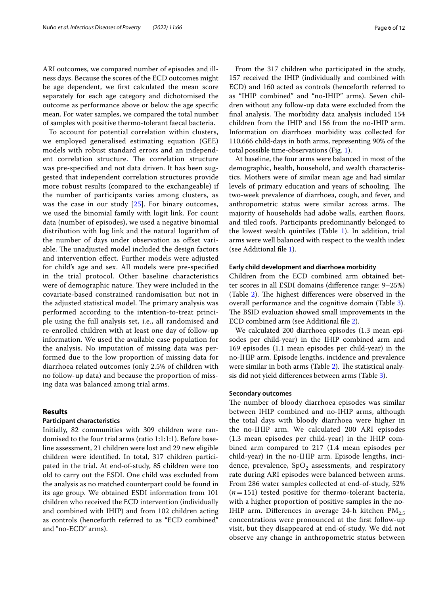ARI outcomes, we compared number of episodes and illness days. Because the scores of the ECD outcomes might be age dependent, we frst calculated the mean score separately for each age category and dichotomised the outcome as performance above or below the age specifc mean. For water samples, we compared the total number of samples with positive thermo-tolerant faecal bacteria.

To account for potential correlation within clusters, we employed generalised estimating equation (GEE) models with robust standard errors and an independent correlation structure. The correlation structure was pre-specifed and not data driven. It has been suggested that independent correlation structures provide more robust results (compared to the exchangeable) if the number of participants varies among clusters, as was the case in our study [[25\]](#page-11-8). For binary outcomes, we used the binomial family with logit link. For count data (number of episodes), we used a negative binomial distribution with log link and the natural logarithm of the number of days under observation as offset variable. The unadjusted model included the design factors and intervention effect. Further models were adjusted for child's age and sex. All models were pre-specifed in the trial protocol. Other baseline characteristics were of demographic nature. They were included in the covariate-based constrained randomisation but not in the adjusted statistical model. The primary analysis was performed according to the intention-to-treat principle using the full analysis set, i.e., all randomised and re-enrolled children with at least one day of follow-up information. We used the available case population for the analysis. No imputation of missing data was performed due to the low proportion of missing data for diarrhoea related outcomes (only 2.5% of children with no follow-up data) and because the proportion of missing data was balanced among trial arms.

# **Results**

# **Participant characteristics**

Initially, 82 communities with 309 children were randomised to the four trial arms (ratio 1:1:1:1). Before baseline assessment, 21 children were lost and 29 new eligible children were identifed. In total, 317 children participated in the trial. At end-of-study, 85 children were too old to carry out the ESDI. One child was excluded from the analysis as no matched counterpart could be found in its age group. We obtained ESDI information from 101 children who received the ECD intervention (individually and combined with IHIP) and from 102 children acting as controls (henceforth referred to as "ECD combined" and "no-ECD" arms).

From the 317 children who participated in the study, 157 received the IHIP (individually and combined with ECD) and 160 acted as controls (henceforth referred to as "IHIP combined" and "no-IHIP" arms). Seven children without any follow-up data were excluded from the final analysis. The morbidity data analysis included 154 children from the IHIP and 156 from the no-IHIP arm. Information on diarrhoea morbidity was collected for 110,666 child-days in both arms, representing 90% of the total possible time-observations (Fig. [1\)](#page-3-0).

At baseline, the four arms were balanced in most of the demographic, health, household, and wealth characteristics. Mothers were of similar mean age and had similar levels of primary education and years of schooling. The two-week prevalence of diarrhoea, cough, and fever, and anthropometric status were similar across arms. The majority of households had adobe walls, earthen floors, and tiled roofs. Participants predominantly belonged to the lowest wealth quintiles (Table [1](#page-6-0)). In addition, trial arms were well balanced with respect to the wealth index (see Additional fle [1\)](#page-9-0).

# **Early child development and diarrhoea morbidity**

Children from the ECD combined arm obtained better scores in all ESDI domains (diference range: 9–25%) (Table  $2$ ). The highest differences were observed in the overall performance and the cognitive domain (Tabl[e 3](#page-7-1)). The BSID evaluation showed small improvements in the ECD combined arm (see Additional fle [2\)](#page-9-1).

We calculated 200 diarrhoea episodes (1.3 mean episodes per child-year) in the IHIP combined arm and 169 episodes (1.1 mean episodes per child-year) in the no-IHIP arm. Episode lengths, incidence and prevalence were similar in both arms (Table [2](#page-7-0)). The statistical analysis did not yield diferences between arms (Tabl[e 3\)](#page-7-1).

# **Secondary outcomes**

The number of bloody diarrhoea episodes was similar between IHIP combined and no-IHIP arms, although the total days with bloody diarrhoea were higher in the no-IHIP arm. We calculated 200 ARI episodes (1.3 mean episodes per child-year) in the IHIP combined arm compared to 217 (1.4 mean episodes per child-year) in the no-IHIP arm. Episode lengths, incidence, prevalence,  $SpO<sub>2</sub>$  assessments, and respiratory rate during ARI episodes were balanced between arms. From 286 water samples collected at end-of-study, 52%  $(n=151)$  tested positive for thermo-tolerant bacteria, with a higher proportion of positive samples in the no-IHIP arm. Differences in average 24-h kitchen  $PM_{2.5}$ concentrations were pronounced at the frst follow-up visit, but they disappeared at end-of-study. We did not observe any change in anthropometric status between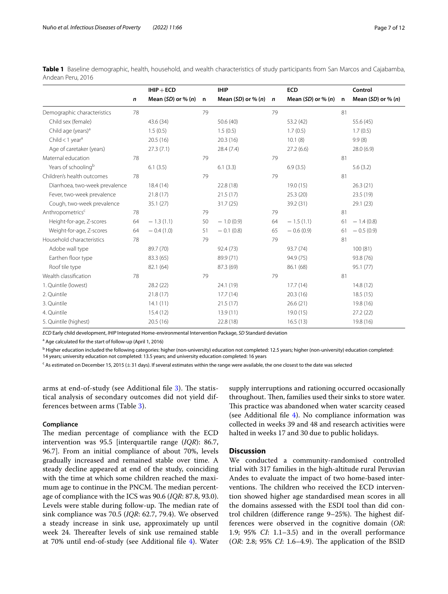|                                 |    | $IHIP + ECD$           |              | <b>IHIP</b>            |             | <b>ECD</b>         |    | Control                |
|---------------------------------|----|------------------------|--------------|------------------------|-------------|--------------------|----|------------------------|
|                                 | n  | Mean $(SD)$ or % $(n)$ | $\mathsf{n}$ | Mean $(SD)$ or % $(n)$ | $\mathbf n$ | Mean (SD) or % (n) | n  | Mean $(SD)$ or % $(n)$ |
| Demographic characteristics     | 78 |                        | 79           |                        | 79          |                    | 81 |                        |
| Child sex (female)              |    | 43.6 (34)              |              | 50.6 (40)              |             | 53.2 (42)          |    | 55.6 (45)              |
| Child age (years) <sup>a</sup>  |    | 1.5(0.5)               |              | 1.5(0.5)               |             | 1.7(0.5)           |    | 1.7(0.5)               |
| Child < $1$ year <sup>a</sup>   |    | 20.5(16)               |              | 20.3(16)               |             | 10.1(8)            |    | 9.9(8)                 |
| Age of caretaker (years)        |    | 27.3(7.1)              |              | 28.4(7.4)              |             | 27.2(6.6)          |    | 28.0(6.9)              |
| Maternal education              | 78 |                        | 79           |                        | 79          |                    | 81 |                        |
| Years of schooling <sup>b</sup> |    | 6.1(3.5)               |              | 6.1(3.3)               |             | 6.9(3.5)           |    | 5.6(3.2)               |
| Children's health outcomes      | 78 |                        | 79           |                        | 79          |                    | 81 |                        |
| Diarrhoea, two-week prevalence  |    | 18.4(14)               |              | 22.8 (18)              |             | 19.0 (15)          |    | 26.3(21)               |
| Fever, two-week prevalence      |    | 21.8(17)               |              | 21.5(17)               |             | 25.3(20)           |    | 23.5 (19)              |
| Cough, two-week prevalence      |    | 35.1(27)               |              | 31.7(25)               |             | 39.2 (31)          |    | 29.1 (23)              |
| Anthropometrics <sup>c</sup>    | 78 |                        | 79           |                        | 79          |                    | 81 |                        |
| Height-for-age, Z-scores        | 64 | $-1.3(1.1)$            | 50           | $-1.0(0.9)$            | 64          | $-1.5(1.1)$        | 61 | $-1.4(0.8)$            |
| Weight-for-age, Z-scores        | 64 | $-0.4(1.0)$            | 51           | $-0.1(0.8)$            | 65          | $-0.6(0.9)$        | 61 | $-0.5(0.9)$            |
| Household characteristics       | 78 |                        | 79           |                        | 79          |                    | 81 |                        |
| Adobe wall type                 |    | 89.7 (70)              |              | 92.4 (73)              |             | 93.7 (74)          |    | 100(81)                |
| Earthen floor type              |    | 83.3 (65)              |              | 89.9 (71)              |             | 94.9 (75)          |    | 93.8 (76)              |
| Roof tile type                  |    | 82.1 (64)              |              | 87.3 (69)              |             | 86.1 (68)          |    | 95.1 (77)              |
| Wealth classification           | 78 |                        | 79           |                        | 79          |                    | 81 |                        |
| 1. Quintile (lowest)            |    | 28.2(22)               |              | 24.1 (19)              |             | 17.7(14)           |    | 14.8(12)               |
| 2. Quintile                     |    | 21.8(17)               |              | 17.7(14)               |             | 20.3(16)           |    | 18.5(15)               |
| 3. Quintile                     |    | 14.1(11)               |              | 21.5(17)               |             | 26.6(21)           |    | 19.8 (16)              |
| 4. Quintile                     |    | 15.4(12)               |              | 13.9(11)               |             | 19.0(15)           |    | 27.2(22)               |
| 5. Quintile (highest)           |    | 20.5(16)               |              | 22.8 (18)              |             | 16.5(13)           |    | 19.8 (16)              |

<span id="page-6-0"></span>**Table 1** Baseline demographic, health, household, and wealth characteristics of study participants from San Marcos and Cajabamba, Andean Peru, 2016

*ECD* Early child development, *IHIP* Integrated Home-environmental Intervention Package, *SD* Standard deviation

<sup>a</sup> Age calculated for the start of follow-up (April 1, 2016)

<sup>b</sup> Higher education included the following categories: higher (non-university) education not completed: 12.5 years; higher (non-university) education completed: 14 years; university education not completed: 13.5 years; and university education completed: 16 years

<sup>c</sup> As estimated on December 15, 2015 ( $\pm 31$  days). If several estimates within the range were available, the one closest to the date was selected

arms at end-of-study (see Additional file [3](#page-9-2)). The statistical analysis of secondary outcomes did not yield differences between arms (Table [3\)](#page-7-1).

#### **Compliance**

The median percentage of compliance with the ECD intervention was 95.5 [interquartile range (*IQR*): 86.7, 96.7]. From an initial compliance of about 70%, levels gradually increased and remained stable over time. A steady decline appeared at end of the study, coinciding with the time at which some children reached the maximum age to continue in the PNCM. The median percentage of compliance with the ICS was 90.6 (*IQR*: 87.8, 93.0). Levels were stable during follow-up. The median rate of sink compliance was 70.5 (*IQR*: 62.7, 79.4). We observed a steady increase in sink use, approximately up until week 24. Thereafter levels of sink use remained stable at 70% until end-of-study (see Additional fle [4](#page-9-3)). Water

supply interruptions and rationing occurred occasionally throughout. Then, families used their sinks to store water. This practice was abandoned when water scarcity ceased (see Additional file  $4$ ). No compliance information was collected in weeks 39 and 48 and research activities were halted in weeks 17 and 30 due to public holidays.

# **Discussion**

We conducted a community-randomised controlled trial with 317 families in the high-altitude rural Peruvian Andes to evaluate the impact of two home-based interventions. The children who received the ECD intervention showed higher age standardised mean scores in all the domains assessed with the ESDI tool than did control children (difference range  $9-25%$ ). The highest differences were observed in the cognitive domain (*OR*: 1.9; 95% *CI*: 1.1–3.5) and in the overall performance (*OR:* 2.8; 95% *CI*: 1.6–4.9). The application of the BSID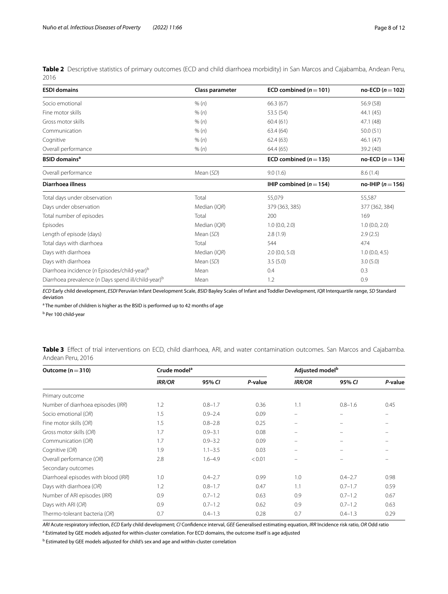<span id="page-7-0"></span>**Table 2** Descriptive statistics of primary outcomes (ECD and child diarrhoea morbidity) in San Marcos and Cajabamba, Andean Peru, 2016

| <b>ESDI domains</b>                                             | Class parameter | ECD combined ( $n = 101$ ) | $no$ -ECD ( $n = 102$ ) |
|-----------------------------------------------------------------|-----------------|----------------------------|-------------------------|
| Socio emotional                                                 | % (n)           | 66.3 (67)                  | 56.9 (58)               |
| Fine motor skills                                               | % (n)           | 53.5 (54)                  | 44.1 (45)               |
| Gross motor skills                                              | % (n)           | 60.4(61)                   | 47.1 (48)               |
| Communication                                                   | % (n)           | 63.4 (64)                  | 50.0(51)                |
| Cognitive                                                       | % (n)           | 62.4(63)                   | 46.1(47)                |
| Overall performance                                             | % (n)           | 64.4 (65)                  | 39.2 (40)               |
| <b>BSID</b> domains <sup>a</sup>                                |                 | ECD combined ( $n = 135$ ) | no-ECD ( $n = 134$ )    |
| Overall performance                                             | Mean (SD)       | 9.0(1.6)                   | 8.6(1.4)                |
| Diarrhoea illness                                               |                 | IHIP combined $(n=154)$    | no-IHIP ( $n = 156$ )   |
| Total days under observation                                    | Total           | 55,079                     | 55,587                  |
| Days under observation                                          | Median (IQR)    | 379 (363, 385)             | 377 (362, 384)          |
| Total number of episodes                                        | Total           | 200                        | 169                     |
| Episodes                                                        | Median (IQR)    | 1.0(0.0, 2.0)              | 1.0(0.0, 2.0)           |
| Length of episode (days)                                        | Mean (SD)       | 2.8(1.9)                   | 2.9(2.5)                |
| Total days with diarrhoea                                       | Total           | 544                        | 474                     |
| Days with diarrhoea                                             | Median (IQR)    | 2.0(0.0, 5.0)              | 1.0(0.0, 4.5)           |
| Days with diarrhoea                                             | Mean (SD)       | 3.5(5.0)                   | 3.0(5.0)                |
| Diarrhoea incidence (n Episodes/child-year) <sup>b</sup>        | Mean            | 0.4                        | 0.3                     |
| Diarrhoea prevalence (n Days spend ill/child-year) <sup>b</sup> | Mean            | 1.2                        | 0.9                     |

*ECD* Early child development, *ESDI* Peruvian Infant Development Scale, *BSID* Bayley Scales of Infant and Toddler Development, *IQR* Interquartile range, *SD* Standard deviation

<sup>a</sup> The number of children is higher as the BSID is performed up to 42 months of age

<sup>b</sup> Per 100 child-year

<span id="page-7-1"></span>**Table 3** Efect of trial interventions on ECD, child diarrhoea, ARI, and water contamination outcomes. San Marcos and Cajabamba. Andean Peru, 2016

| Outcome ( $n = 310$ )                | Crude model <sup>a</sup> |             |         | Adjusted model <sup>b</sup> |             |         |  |
|--------------------------------------|--------------------------|-------------|---------|-----------------------------|-------------|---------|--|
|                                      | <b>IRR/OR</b>            | 95% CI      | P-value | <b>IRR/OR</b>               | 95% CI      | P-value |  |
| Primary outcome                      |                          |             |         |                             |             |         |  |
| Number of diarrhoea episodes (IRR)   | 1.2                      | $0.8 - 1.7$ | 0.36    | 1.1                         | $0.8 - 1.6$ | 0.45    |  |
| Socio emotional (OR)                 | 1.5                      | $0.9 - 2.4$ | 0.09    |                             |             |         |  |
| Fine motor skills (OR)               | 1.5                      | $0.8 - 2.8$ | 0.25    | -                           |             |         |  |
| Gross motor skills (OR)              | 1.7                      | $0.9 - 3.1$ | 0.08    |                             |             |         |  |
| Communication (OR)                   | 1.7                      | $0.9 - 3.2$ | 0.09    | $\overline{\phantom{0}}$    |             |         |  |
| Cognitive (OR)                       | 1.9                      | $1.1 - 3.5$ | 0.03    | -                           |             |         |  |
| Overall performance (OR)             | 2.8                      | $1.6 - 4.9$ | < 0.01  |                             |             |         |  |
| Secondary outcomes                   |                          |             |         |                             |             |         |  |
| Diarrhoeal episodes with blood (IRR) | 1.0                      | $0.4 - 2.7$ | 0.99    | 1.0                         | $0.4 - 2.7$ | 0.98    |  |
| Days with diarrhoea (OR)             | 1.2                      | $0.8 - 1.7$ | 0.47    | 1.1                         | $0.7 - 1.7$ | 0.59    |  |
| Number of ARI episodes (IRR)         | 0.9                      | $0.7 - 1.2$ | 0.63    | 0.9                         | $0.7 - 1.2$ | 0.67    |  |
| Days with ARI (OR)                   | 0.9                      | $0.7 - 1.2$ | 0.62    | 0.9                         | $0.7 - 1.2$ | 0.63    |  |
| Thermo-tolerant bacteria (OR)        | 0.7                      | $0.4 - 1.3$ | 0.28    | 0.7                         | $0.4 - 1.3$ | 0.29    |  |

*ARI* Acute respiratory infection, *ECD* Early child development; *CI* Confdence interval, *GEE* Generalised estimating equation, *IRR* Incidence risk ratio, *OR* Odd ratio

<sup>a</sup> Estimated by GEE models adjusted for within-cluster correlation. For ECD domains, the outcome itself is age adjusted

<sup>b</sup> Estimated by GEE models adjusted for child's sex and age and within-cluster correlation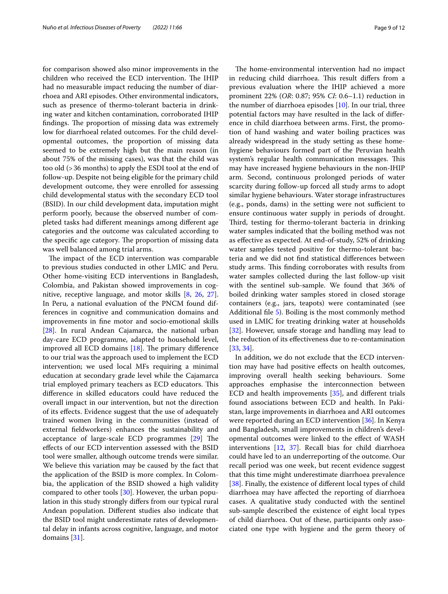for comparison showed also minor improvements in the children who received the ECD intervention. The IHIP had no measurable impact reducing the number of diarrhoea and ARI episodes. Other environmental indicators, such as presence of thermo-tolerant bacteria in drinking water and kitchen contamination, corroborated IHIP findings. The proportion of missing data was extremely low for diarrhoeal related outcomes. For the child developmental outcomes, the proportion of missing data seemed to be extremely high but the main reason (in about 75% of the missing cases), was that the child was too old (>36 months) to apply the ESDI tool at the end of follow-up. Despite not being eligible for the primary child development outcome, they were enrolled for assessing child developmental status with the secondary ECD tool (BSID). In our child development data, imputation might perform poorly, because the observed number of completed tasks had diferent meanings among diferent age categories and the outcome was calculated according to the specific age category. The proportion of missing data was well balanced among trial arms.

The impact of the ECD intervention was comparable to previous studies conducted in other LMIC and Peru. Other home-visiting ECD interventions in Bangladesh, Colombia, and Pakistan showed improvements in cognitive, receptive language, and motor skills [[8](#page-10-7), [26,](#page-11-9) [27](#page-11-10)]. In Peru, a national evaluation of the PNCM found differences in cognitive and communication domains and improvements in fne motor and socio-emotional skills [[28\]](#page-11-11). In rural Andean Cajamarca, the national urban day-care ECD programme, adapted to household level, improved all ECD domains  $[18]$  $[18]$  $[18]$ . The primary difference to our trial was the approach used to implement the ECD intervention; we used local MFs requiring a minimal education at secondary grade level while the Cajamarca trial employed primary teachers as ECD educators. This diference in skilled educators could have reduced the overall impact in our intervention, but not the direction of its efects. Evidence suggest that the use of adequately trained women living in the communities (instead of external feldworkers) enhances the sustainability and acceptance of large-scale ECD programmes  $[29]$  $[29]$  The efects of our ECD intervention assessed with the BSID tool were smaller, although outcome trends were similar. We believe this variation may be caused by the fact that the application of the BSID is more complex. In Colombia, the application of the BSID showed a high validity compared to other tools [[30\]](#page-11-13). However, the urban population in this study strongly difers from our typical rural Andean population. Diferent studies also indicate that the BSID tool might underestimate rates of developmental delay in infants across cognitive, language, and motor domains [\[31](#page-11-14)].

The home-environmental intervention had no impact in reducing child diarrhoea. This result differs from a previous evaluation where the IHIP achieved a more prominent 22% (*OR*: 0.87; 95% *CI*: 0.6–1.1) reduction in the number of diarrhoea episodes [\[10](#page-10-9)]. In our trial, three potential factors may have resulted in the lack of diference in child diarrhoea between arms. First, the promotion of hand washing and water boiling practices was already widespread in the study setting as these homehygiene behaviours formed part of the Peruvian health system's regular health communication messages. This may have increased hygiene behaviours in the non-IHIP arm. Second, continuous prolonged periods of water scarcity during follow-up forced all study arms to adopt similar hygiene behaviours. Water storage infrastructures (e.g., ponds, dams) in the setting were not sufficient to ensure continuous water supply in periods of drought. Third, testing for thermo-tolerant bacteria in drinking water samples indicated that the boiling method was not as efective as expected. At end-of-study, 52% of drinking water samples tested positive for thermo-tolerant bacteria and we did not fnd statistical diferences between study arms. This finding corroborates with results from water samples collected during the last follow-up visit with the sentinel sub-sample. We found that 36% of boiled drinking water samples stored in closed storage containers (e.g., jars, teapots) were contaminated (see Additional fle [5](#page-9-4)). Boiling is the most commonly method used in LMIC for treating drinking water at households [[32\]](#page-11-15). However, unsafe storage and handling may lead to the reduction of its efectiveness due to re-contamination [[33,](#page-11-16) [34](#page-11-17)].

In addition, we do not exclude that the ECD intervention may have had positive efects on health outcomes, improving overall health seeking behaviours. Some approaches emphasise the interconnection between ECD and health improvements [[35\]](#page-11-18), and diferent trials found associations between ECD and health. In Pakistan, large improvements in diarrhoea and ARI outcomes were reported during an ECD intervention [[36](#page-11-19)]. In Kenya and Bangladesh, small improvements in children's developmental outcomes were linked to the efect of WASH interventions [\[12](#page-10-11), [37\]](#page-11-20). Recall bias for child diarrhoea could have led to an underreporting of the outcome. Our recall period was one week, but recent evidence suggest that this time might underestimate diarrhoea prevalence [[38\]](#page-11-21). Finally, the existence of different local types of child diarrhoea may have afected the reporting of diarrhoea cases. A qualitative study conducted with the sentinel sub-sample described the existence of eight local types of child diarrhoea. Out of these, participants only associated one type with hygiene and the germ theory of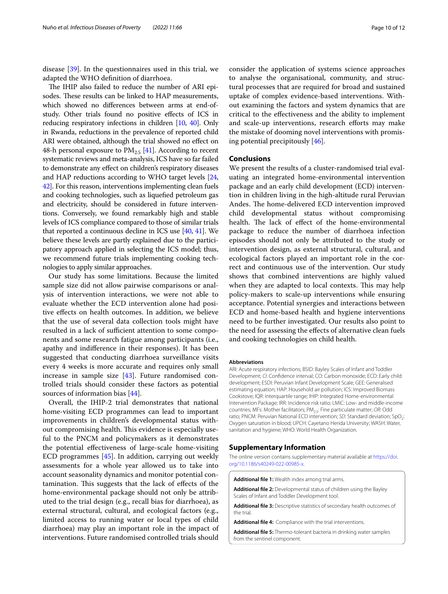disease [[39\]](#page-11-22). In the questionnaires used in this trial, we adapted the WHO defnition of diarrhoea.

The IHIP also failed to reduce the number of ARI episodes. These results can be linked to HAP measurements, which showed no diferences between arms at end-ofstudy. Other trials found no positive efects of ICS in reducing respiratory infections in children [[10](#page-10-9), [40\]](#page-11-23). Only in Rwanda, reductions in the prevalence of reported child ARI were obtained, although the trial showed no effect on 48-h personal exposure to  $PM_{2,5}$  [\[41](#page-11-24)]. According to recent systematic reviews and meta-analysis, ICS have so far failed to demonstrate any efect on children's respiratory diseases and HAP reductions according to WHO target levels [[24](#page-11-7), [42](#page-11-25)]. For this reason, interventions implementing clean fuels and cooking technologies, such as liquefed petroleum gas and electricity, should be considered in future interventions. Conversely, we found remarkably high and stable levels of ICS compliance compared to those of similar trials that reported a continuous decline in ICS use [\[40,](#page-11-23) [41](#page-11-24)]. We believe these levels are partly explained due to the participatory approach applied in selecting the ICS model; thus, we recommend future trials implementing cooking technologies to apply similar approaches.

Our study has some limitations. Because the limited sample size did not allow pairwise comparisons or analysis of intervention interactions, we were not able to evaluate whether the ECD intervention alone had positive efects on health outcomes. In addition, we believe that the use of several data collection tools might have resulted in a lack of sufficient attention to some components and some research fatigue among participants (i.e., apathy and indiference in their responses). It has been suggested that conducting diarrhoea surveillance visits every 4 weeks is more accurate and requires only small increase in sample size [[43\]](#page-11-26). Future randomised controlled trials should consider these factors as potential sources of information bias [\[44\]](#page-11-27).

Overall, the IHIP-2 trial demonstrates that national home-visiting ECD programmes can lead to important improvements in children's developmental status without compromising health. This evidence is especially useful to the PNCM and policymakers as it demonstrates the potential efectiveness of large-scale home-visiting ECD programmes [\[45\]](#page-11-28). In addition, carrying out weekly assessments for a whole year allowed us to take into account seasonality dynamics and monitor potential contamination. This suggests that the lack of effects of the home-environmental package should not only be attributed to the trial design (e.g., recall bias for diarrhoea), as external structural, cultural, and ecological factors (e.g., limited access to running water or local types of child diarrhoea) may play an important role in the impact of interventions. Future randomised controlled trials should

to analyse the organisational, community, and structural processes that are required for broad and sustained uptake of complex evidence-based interventions. Without examining the factors and system dynamics that are critical to the efectiveness and the ability to implement and scale-up interventions, research efforts may make the mistake of dooming novel interventions with promising potential precipitously [\[46](#page-11-29)].

# **Conclusions**

We present the results of a cluster-randomised trial evaluating an integrated home-environmental intervention package and an early child development (ECD) intervention in children living in the high-altitude rural Peruvian Andes. The home-delivered ECD intervention improved child developmental status without compromising health. The lack of effect of the home-environmental package to reduce the number of diarrhoea infection episodes should not only be attributed to the study or intervention design, as external structural, cultural, and ecological factors played an important role in the correct and continuous use of the intervention. Our study shows that combined interventions are highly valued when they are adapted to local contexts. This may help policy-makers to scale-up interventions while ensuring acceptance. Potential synergies and interactions between ECD and home-based health and hygiene interventions need to be further investigated. Our results also point to the need for assessing the efects of alternative clean fuels and cooking technologies on child health.

#### **Abbreviations**

ARI: Acute respiratory infections; BSID: Bayley Scales of Infant and Toddler Development; *CI*: Confdence interval; CO: Carbon monoxide; ECD: Early child development; ESDI: Peruvian Infant Development Scale; GEE: Generalised estimating equation; HAP: Household air pollution; ICS: Improved Biomass Cookstove; IQR: Interquartile range; IHIP: Integrated Home-environmental Intervention Package; IRR: Incidence risk ratio; LMIC: Low- and middle-income countries; MFs: Mother facilitators; PM<sub>2.5</sub>: Fine particulate matter; OR: Odd ratio; PNCM: Peruvian National ECD intervention; *SD*: Standard deviation; SpO2: Oxygen saturation in blood; UPCH: Cayetano Herida University; WASH: Water, sanitation and hygiene; WHO: World Health Organization.

# **Supplementary Information**

The online version contains supplementary material available at [https://doi.](https://doi.org/10.1186/s40249-022-00985-x) [org/10.1186/s40249-022-00985-x.](https://doi.org/10.1186/s40249-022-00985-x)

<span id="page-9-1"></span><span id="page-9-0"></span>**Additional fle 1:** Wealth index among trial arms.

<span id="page-9-2"></span>**Additional fle 2:** Developmental status of children using the Bayley Scales of Infant and Toddler Development tool.

<span id="page-9-3"></span>**Additional fle 3:** Descriptive statistics of secondary health outcomes of the trial

<span id="page-9-4"></span>**Additional fle 4:** Compliance with the trial interventions.

**Additional fle 5:** Thermo-tolerant bacteria in drinking water samples from the sentinel component.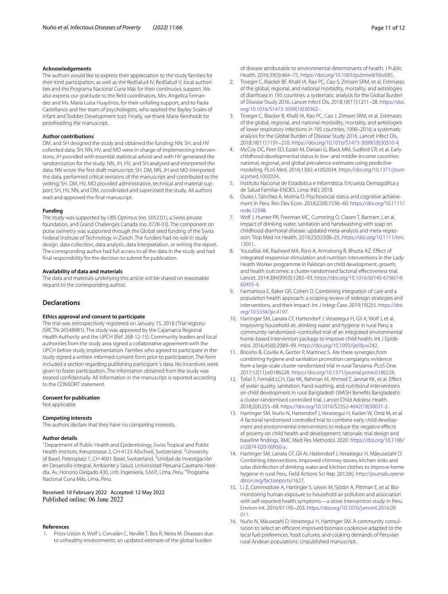#### **Acknowledgements**

The authors would like to express their appreciation to the study families for their kind participation, as well as the RedSalud-IV, RedSalud-V, local authorities and the Programa Nacional Cuna Más for their continuous support. We also express our gratitude to the feld coordinators, Mrs. Angelica Fernandez and Ms. Maria Luisa Huaylinos, for their unfailing support, and to Paola Castellanos and her team of psychologists, who applied the Bayley Scales of Infant and Toddler Development tool. Finally, we thank Marie Reinholdt for proofreading the manuscript.

#### **Author contributions**

DM, and SH designed the study and obtained the funding; NN, SH, and HV collected data; SH, NN, HV, and MO were in charge of implementing interventions; JH provided with essential statistical advice and with HV generated the randomisation for the study. NN, JH, HV, and SH analysed and interpreted the data; NN wrote the frst draft manuscript; SH, DM, NN, JH and MO interpreted the data, performed critical revisions of the manuscript and contributed to the writing; SH, DM, HV, MO provided administrative, technical and material support; SH, HV, NN, and DM, coordinated and supervised the study. All authors read and approved the fnal manuscript.

#### **Funding**

The study was supported by UBS Optimus (no. 5052.01), a Swiss private foundation, and Grand Challenges Canada (no. 0728-03). The component on pulse oximetry was supported through the Global seed funding of the Swiss Federal Institute of Technology in Zürich. The funders had no role in study design, data collection, data analysis, data interpretation, or writing the report. The corresponding author had full access to all the data in the study and had fnal responsibility for the decision to submit for publication.

#### **Availability of data and materials**

The data and materials underlying this article will be shared on reasonable request to the corresponding author.

# **Declarations**

#### **Ethics approval and consent to participate**

The trial was retrospectively registered on January 15, 2018 (Trial registry: ISRCTN-26548981). The study was approved by the Cajamarca Regional Health Authority and the UPCH (Ref. 268-12-15). Community leaders and local authorities from the study area signed a collaborative agreement with the UPCH before study implementation. Families who agreed to participate in the study signed a written informed consent form prior to participation. The form included a section regarding publishing participant´s data. No incentives were given to foster participation. The information obtained from the study was treated confdentially. All information in the manuscript is reported according to the CONSORT statement.

#### **Consent for publication**

Not applicable.

#### **Competing interests**

The authors declare that they have no competing interests.

#### **Author details**

<sup>1</sup> Department of Public Health and Epidemiology, Swiss Tropical and Public Health Institute, Kreuzstrasse 2, CH-4123 Allschwil, Switzerland. <sup>2</sup>University of Basel, Petersplatz 1, CH-4001 Basel, Switzerland. <sup>3</sup>Unidad de Investigación en Desarrollo Integral, Ambiente y Salud, Universidad Peruana Cayetano Heredia, Av. Honorio Delgado 430, Urb. Ingeniería, S.M.P., Lima, Peru. <sup>4</sup>Programa Nacional Cuna Más, Lima, Peru.

Received: 10 February 2022 Accepted: 12 May 2022

#### **References**

<span id="page-10-0"></span>1. Prüss-Ustün A, Wolf J, Corvalán C, Neville T, Bos R, Neira M. Diseases due to unhealthy environments: an updated estimate of the global burden

of disease attributable to environmental determinants of health. J Public Health. 2016;39(3):464–75. <https://doi.org/10.1093/pubmed/fdw085>.

- <span id="page-10-1"></span>2. Troeger C, Blacker BF, Khalil IA, Rao PC, Cao S, Zimsen SRM, et al. Estimates of the global, regional, and national morbidity, mortality, and aetiologies of diarrhoea in 195 countries: a systematic analysis for the Global Burden of Disease Study 2016. Lancet Infect Dis. 2018;18(11):1211–28. [https://doi.](https://doi.org/10.1016/S1473-3099(18)30362-) [org/10.1016/S1473-3099\(18\)30362-](https://doi.org/10.1016/S1473-3099(18)30362-)
- <span id="page-10-2"></span>3. Troeger C, Blacker B, Khalil IA, Rao PC, Cao J, Zimsen SRM, et al. Estimates of the global, regional, and national morbidity, mortality, and aetiologies of lower respiratory infections in 195 countries, 1990–2016: a systematic analysis for the Global Burden of Disease Study 2016. Lancet Infect Dis. 2018;18(11):1191–210. [https://doi.org/10.1016/S1473-3099\(18\)30310-4](https://doi.org/10.1016/S1473-3099(18)30310-4).
- <span id="page-10-3"></span>4. McCoy DC, Peet ED, Ezzati M, Danaei G, Black MM, Sudfeld CR, et al. Early childhood developmental status in low- and middle-income countries: national, regional, and global prevalence estimates using predictive modeling. PLoS Med. 2016;13(6): e1002034. [https://doi.org/10.1371/journ](https://doi.org/10.1371/journal.pmed.1002034) [al.pmed.1002034.](https://doi.org/10.1371/journal.pmed.1002034)
- <span id="page-10-4"></span>5. Instituto Nacional de Estadística e Informática. Encuesta Demográfca y de Salud Familiar-ENDES. Lima: INEI; 2018.
- <span id="page-10-5"></span>6. Outes I, Sánchez A, Molina O. Psychosocial status and cognitive achievement in Peru. Rev Dev Econ. 2018;22(4):1536–60. [https://doi.org/10.1111/](https://doi.org/10.1111/rode.12398) [rode.12398](https://doi.org/10.1111/rode.12398).
- <span id="page-10-6"></span>7. Wolf J, Hunter PR, Freeman MC, Cumming O, Clasen T, Bartram J, et al. Impact of drinking water, sanitation and handwashing with soap on childhood diarrhoeal disease: updated meta-analysis and meta-regression. Trop Med Int Health. 2018;23(5):508–25. [https://doi.org/10.1111/tmi.](https://doi.org/10.1111/tmi.13051) [13051](https://doi.org/10.1111/tmi.13051).
- <span id="page-10-7"></span>8. Yousafzai AK, Rasheed MA, Rizvi A, Armstrong R, Bhutta AZ. Efect of integrated responsive stimulation and nutrition interventions in the Lady Health Worker programme in Pakistan on child development, growth, and health outcomes: a cluster-randomised factorial efectiveness trial. Lancet. 2014;384(9950):1282–93. [https://doi.org/10.1016/s0140-6736\(14\)](https://doi.org/10.1016/s0140-6736(14)60455-4) [60455-4.](https://doi.org/10.1016/s0140-6736(14)60455-4)
- <span id="page-10-8"></span>9. Farmanova E, Baker GR, Cohen D. Combining integration of care and a population health approach: a scoping review of redesign strategies and interventions, and their impact. Int J Integr Care. 2019;19(2):5. [https://doi.](https://doi.org/10.5334/ijic.4197) [org/10.5334/ijic.4197](https://doi.org/10.5334/ijic.4197).
- <span id="page-10-9"></span>10. Hartinger SM, Lanata CF, Hattendorf J, Verastegui H, Gil A, Wolf J, et al. Improving household air, drinking water and hygiene in rural Peru: a community-randomized–controlled trial of an integrated environmental home-based intervention package to improve child health. Int J Epidemiol. 2016;45(6):2089–99. [https://doi.org/10.1093/ije/dyw242.](https://doi.org/10.1093/ije/dyw242)
- <span id="page-10-10"></span>11. Briceño B, Coville A, Gertler P, Martinez S. Are there synergies from combining hygiene and sanitation promotion campaigns: evidence from a large-scale cluster-randomized trial in rural Tanzania. PLoS One. 2017;12(11):e0186228. <https://doi.org/10.1371/journal.pone.0186228>.
- <span id="page-10-11"></span>12. Tofail F, Fernald LCH, Das KK, Rahman M, Ahmed T, Jannat KK, et al. Efect of water quality, sanitation, hand washing, and nutritional interventions on child development in rural Bangladesh (WASH Benefts Bangladesh): a cluster-randomised controlled trial. Lancet Child Adolesc Health. 2018;2(4):255–68. [https://doi.org/10.1016/S2352-4642\(18\)30031-2.](https://doi.org/10.1016/S2352-4642(18)30031-2)
- <span id="page-10-12"></span>13. Hartinger SM, Nuño N, Hattendorf J, Verastegui H, Karlen W, Ortiz M, et al. A factorial randomised controlled trial to combine early child development and environmental interventions to reduce the negative efects of poverty on child health and development: rationale, trial design and baseline fndings. BMC Med Res Methodol. 2020. [https://doi.org/10.1186/](https://doi.org/10.1186/s12874-020-00950-y) [s12874-020-00950-y.](https://doi.org/10.1186/s12874-020-00950-y)
- <span id="page-10-13"></span>14. Hartinger SM, Lanata CF, Gil AI, Hattendorf J, Verastegui H, Mäeusezahl D. Combining interventions: improved chimney stoves, kitchen sinks and solar disinfection of drinking water and kitchen clothes to improve home hygiene in rural Peru. Field Actions Sci Rep. 2012(6). [http://journals.opene](http://journals.openedition.org/factsreports/1627) [dition.org/factsreports/1627](http://journals.openedition.org/factsreports/1627).
- <span id="page-10-14"></span>15. Li Z, Commodore A, Hartinger S, Lewin M, Sjödin A, Pittman E, et al. Biomonitoring human exposure to household air pollution and association with self-reported health symptoms—a stove intervention study in Peru. Environ Int. 2016;97:195–203. [https://doi.org/10.1016/j.envint.2016.09.](https://doi.org/10.1016/j.envint.2016.09.011) [011.](https://doi.org/10.1016/j.envint.2016.09.011)
- <span id="page-10-15"></span>16. Nuño N, Mäusezahl D, Verastegui H, Hartinger SM. A community consultation to select an efficient improved biomass cookstove adapted to the local fuel preferences, food cultures, and cooking demands of Peruvian rural Andean populations; Unpublished manuscript.